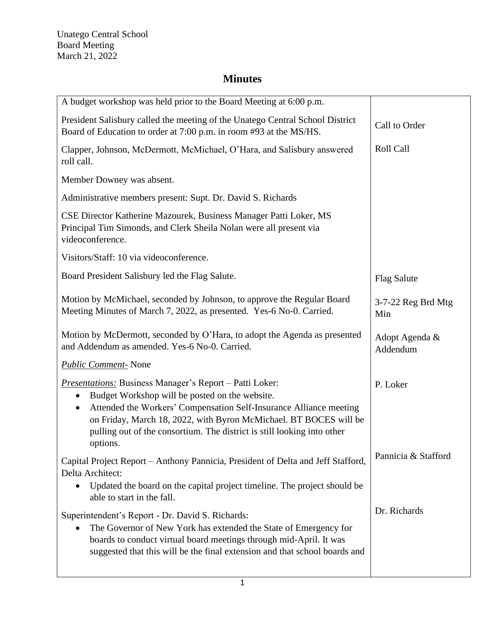| A budget workshop was held prior to the Board Meeting at 6:00 p.m.                                                                                                                                                                                                                                                                                              |                            |
|-----------------------------------------------------------------------------------------------------------------------------------------------------------------------------------------------------------------------------------------------------------------------------------------------------------------------------------------------------------------|----------------------------|
| President Salisbury called the meeting of the Unatego Central School District<br>Board of Education to order at 7:00 p.m. in room #93 at the MS/HS.                                                                                                                                                                                                             | Call to Order              |
| Clapper, Johnson, McDermott, McMichael, O'Hara, and Salisbury answered<br>roll call.                                                                                                                                                                                                                                                                            | <b>Roll Call</b>           |
| Member Downey was absent.                                                                                                                                                                                                                                                                                                                                       |                            |
| Administrative members present: Supt. Dr. David S. Richards                                                                                                                                                                                                                                                                                                     |                            |
| CSE Director Katherine Mazourek, Business Manager Patti Loker, MS<br>Principal Tim Simonds, and Clerk Sheila Nolan were all present via<br>videoconference.                                                                                                                                                                                                     |                            |
| Visitors/Staff: 10 via videoconference.                                                                                                                                                                                                                                                                                                                         |                            |
| Board President Salisbury led the Flag Salute.                                                                                                                                                                                                                                                                                                                  | <b>Flag Salute</b>         |
| Motion by McMichael, seconded by Johnson, to approve the Regular Board<br>Meeting Minutes of March 7, 2022, as presented. Yes-6 No-0. Carried.                                                                                                                                                                                                                  | 3-7-22 Reg Brd Mtg<br>Min  |
| Motion by McDermott, seconded by O'Hara, to adopt the Agenda as presented<br>and Addendum as amended. Yes-6 No-0. Carried.                                                                                                                                                                                                                                      | Adopt Agenda &<br>Addendum |
| <b>Public Comment-</b> None                                                                                                                                                                                                                                                                                                                                     |                            |
| <b>Presentations:</b> Business Manager's Report – Patti Loker:<br>Budget Workshop will be posted on the website.<br>Attended the Workers' Compensation Self-Insurance Alliance meeting<br>$\bullet$<br>on Friday, March 18, 2022, with Byron McMichael. BT BOCES will be<br>pulling out of the consortium. The district is still looking into other<br>options. | P. Loker                   |
| Capital Project Report - Anthony Pannicia, President of Delta and Jeff Stafford,<br>Delta Architect:<br>Updated the board on the capital project timeline. The project should be<br>$\bullet$<br>able to start in the fall.                                                                                                                                     | Pannicia & Stafford        |
| Superintendent's Report - Dr. David S. Richards:<br>The Governor of New York has extended the State of Emergency for<br>$\bullet$<br>boards to conduct virtual board meetings through mid-April. It was<br>suggested that this will be the final extension and that school boards and                                                                           | Dr. Richards               |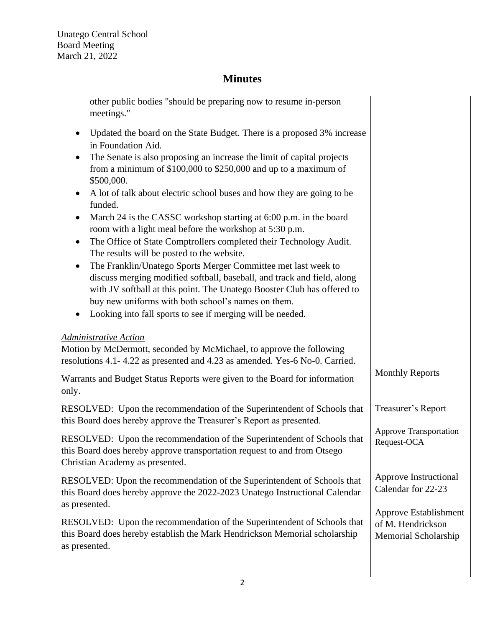| other public bodies "should be preparing now to resume in-person<br>meetings."                                                                                                                                                                                                                                                                                                                                                                                                                                                                                                                                                                                                                                                                                                                                                                                                                                                                                                                                      |                                                                    |
|---------------------------------------------------------------------------------------------------------------------------------------------------------------------------------------------------------------------------------------------------------------------------------------------------------------------------------------------------------------------------------------------------------------------------------------------------------------------------------------------------------------------------------------------------------------------------------------------------------------------------------------------------------------------------------------------------------------------------------------------------------------------------------------------------------------------------------------------------------------------------------------------------------------------------------------------------------------------------------------------------------------------|--------------------------------------------------------------------|
| Updated the board on the State Budget. There is a proposed 3% increase<br>٠<br>in Foundation Aid.<br>The Senate is also proposing an increase the limit of capital projects<br>$\bullet$<br>from a minimum of $$100,000$ to $$250,000$ and up to a maximum of<br>\$500,000.<br>A lot of talk about electric school buses and how they are going to be<br>$\bullet$<br>funded.<br>March 24 is the CASSC workshop starting at 6:00 p.m. in the board<br>$\bullet$<br>room with a light meal before the workshop at 5:30 p.m.<br>The Office of State Comptrollers completed their Technology Audit.<br>$\bullet$<br>The results will be posted to the website.<br>The Franklin/Unatego Sports Merger Committee met last week to<br>$\bullet$<br>discuss merging modified softball, baseball, and track and field, along<br>with JV softball at this point. The Unatego Booster Club has offered to<br>buy new uniforms with both school's names on them.<br>Looking into fall sports to see if merging will be needed. |                                                                    |
| <b>Administrative Action</b><br>Motion by McDermott, seconded by McMichael, to approve the following<br>resolutions 4.1-4.22 as presented and 4.23 as amended. Yes-6 No-0. Carried.                                                                                                                                                                                                                                                                                                                                                                                                                                                                                                                                                                                                                                                                                                                                                                                                                                 |                                                                    |
| Warrants and Budget Status Reports were given to the Board for information<br>only.                                                                                                                                                                                                                                                                                                                                                                                                                                                                                                                                                                                                                                                                                                                                                                                                                                                                                                                                 | <b>Monthly Reports</b>                                             |
| RESOLVED: Upon the recommendation of the Superintendent of Schools that<br>this Board does hereby approve the Treasurer's Report as presented.                                                                                                                                                                                                                                                                                                                                                                                                                                                                                                                                                                                                                                                                                                                                                                                                                                                                      | Treasurer's Report                                                 |
| RESOLVED: Upon the recommendation of the Superintendent of Schools that<br>this Board does hereby approve transportation request to and from Otsego<br>Christian Academy as presented.                                                                                                                                                                                                                                                                                                                                                                                                                                                                                                                                                                                                                                                                                                                                                                                                                              | <b>Approve Transportation</b><br>Request-OCA                       |
| RESOLVED: Upon the recommendation of the Superintendent of Schools that<br>this Board does hereby approve the 2022-2023 Unatego Instructional Calendar<br>as presented.                                                                                                                                                                                                                                                                                                                                                                                                                                                                                                                                                                                                                                                                                                                                                                                                                                             | Approve Instructional<br>Calendar for 22-23                        |
| RESOLVED: Upon the recommendation of the Superintendent of Schools that<br>this Board does hereby establish the Mark Hendrickson Memorial scholarship<br>as presented.                                                                                                                                                                                                                                                                                                                                                                                                                                                                                                                                                                                                                                                                                                                                                                                                                                              | Approve Establishment<br>of M. Hendrickson<br>Memorial Scholarship |
|                                                                                                                                                                                                                                                                                                                                                                                                                                                                                                                                                                                                                                                                                                                                                                                                                                                                                                                                                                                                                     |                                                                    |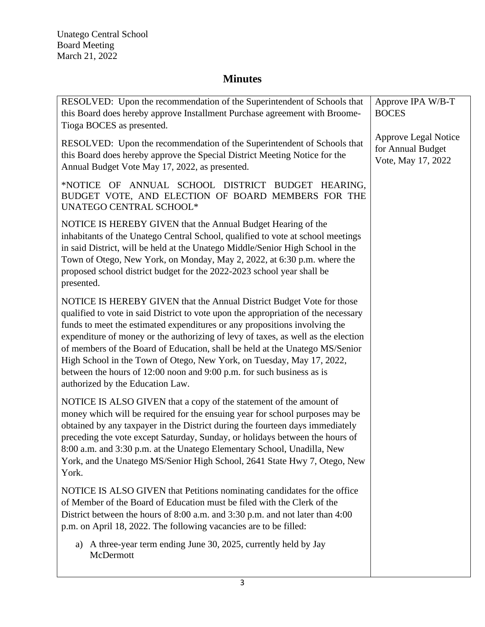| RESOLVED: Upon the recommendation of the Superintendent of Schools that<br>this Board does hereby approve Installment Purchase agreement with Broome-<br>Tioga BOCES as presented.                                                                                                                                                                                                                                                                                                                                                                                                                   | Approve IPA W/B-T<br><b>BOCES</b>                                      |
|------------------------------------------------------------------------------------------------------------------------------------------------------------------------------------------------------------------------------------------------------------------------------------------------------------------------------------------------------------------------------------------------------------------------------------------------------------------------------------------------------------------------------------------------------------------------------------------------------|------------------------------------------------------------------------|
| RESOLVED: Upon the recommendation of the Superintendent of Schools that<br>this Board does hereby approve the Special District Meeting Notice for the<br>Annual Budget Vote May 17, 2022, as presented.                                                                                                                                                                                                                                                                                                                                                                                              | <b>Approve Legal Notice</b><br>for Annual Budget<br>Vote, May 17, 2022 |
| *NOTICE OF ANNUAL SCHOOL DISTRICT BUDGET HEARING,<br>BUDGET VOTE, AND ELECTION OF BOARD MEMBERS FOR THE<br><b>UNATEGO CENTRAL SCHOOL*</b>                                                                                                                                                                                                                                                                                                                                                                                                                                                            |                                                                        |
| NOTICE IS HEREBY GIVEN that the Annual Budget Hearing of the<br>inhabitants of the Unatego Central School, qualified to vote at school meetings<br>in said District, will be held at the Unatego Middle/Senior High School in the<br>Town of Otego, New York, on Monday, May 2, 2022, at 6:30 p.m. where the<br>proposed school district budget for the 2022-2023 school year shall be<br>presented.                                                                                                                                                                                                 |                                                                        |
| NOTICE IS HEREBY GIVEN that the Annual District Budget Vote for those<br>qualified to vote in said District to vote upon the appropriation of the necessary<br>funds to meet the estimated expenditures or any propositions involving the<br>expenditure of money or the authorizing of levy of taxes, as well as the election<br>of members of the Board of Education, shall be held at the Unatego MS/Senior<br>High School in the Town of Otego, New York, on Tuesday, May 17, 2022,<br>between the hours of 12:00 noon and 9:00 p.m. for such business as is<br>authorized by the Education Law. |                                                                        |
| NOTICE IS ALSO GIVEN that a copy of the statement of the amount of<br>money which will be required for the ensuing year for school purposes may be<br>obtained by any taxpayer in the District during the fourteen days immediately<br>preceding the vote except Saturday, Sunday, or holidays between the hours of<br>8:00 a.m. and 3:30 p.m. at the Unatego Elementary School, Unadilla, New<br>York, and the Unatego MS/Senior High School, 2641 State Hwy 7, Otego, New<br>York.                                                                                                                 |                                                                        |
| NOTICE IS ALSO GIVEN that Petitions nominating candidates for the office<br>of Member of the Board of Education must be filed with the Clerk of the<br>District between the hours of 8:00 a.m. and 3:30 p.m. and not later than 4:00<br>p.m. on April 18, 2022. The following vacancies are to be filled:                                                                                                                                                                                                                                                                                            |                                                                        |
| a) A three-year term ending June 30, 2025, currently held by Jay<br>McDermott                                                                                                                                                                                                                                                                                                                                                                                                                                                                                                                        |                                                                        |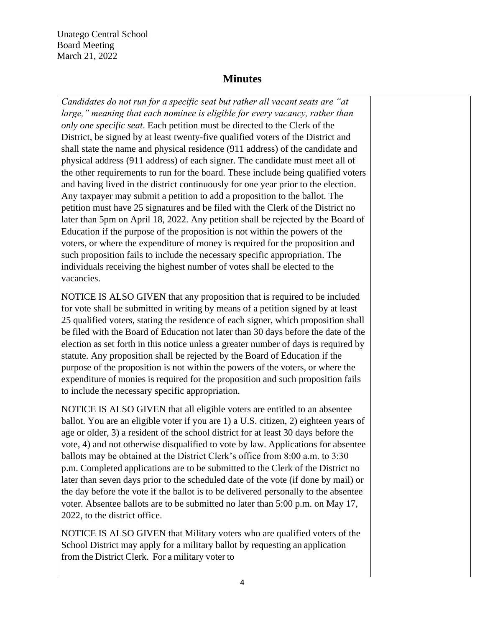Unatego Central School Board Meeting March 21, 2022

## **Minutes**

*Candidates do not run for a specific seat but rather all vacant seats are "at large," meaning that each nominee is eligible for every vacancy, rather than only one specific seat*. Each petition must be directed to the Clerk of the District, be signed by at least twenty-five qualified voters of the District and shall state the name and physical residence (911 address) of the candidate and physical address (911 address) of each signer. The candidate must meet all of the other requirements to run for the board. These include being qualified voters and having lived in the district continuously for one year prior to the election. Any taxpayer may submit a petition to add a proposition to the ballot. The petition must have 25 signatures and be filed with the Clerk of the District no later than 5pm on April 18, 2022. Any petition shall be rejected by the Board of Education if the purpose of the proposition is not within the powers of the voters, or where the expenditure of money is required for the proposition and such proposition fails to include the necessary specific appropriation. The individuals receiving the highest number of votes shall be elected to the vacancies.

NOTICE IS ALSO GIVEN that any proposition that is required to be included for vote shall be submitted in writing by means of a petition signed by at least 25 qualified voters, stating the residence of each signer, which proposition shall be filed with the Board of Education not later than 30 days before the date of the election as set forth in this notice unless a greater number of days is required by statute. Any proposition shall be rejected by the Board of Education if the purpose of the proposition is not within the powers of the voters, or where the expenditure of monies is required for the proposition and such proposition fails to include the necessary specific appropriation.

NOTICE IS ALSO GIVEN that all eligible voters are entitled to an absentee ballot. You are an eligible voter if you are 1) a U.S. citizen, 2) eighteen years of age or older, 3) a resident of the school district for at least 30 days before the vote, 4) and not otherwise disqualified to vote by law. Applications for absentee ballots may be obtained at the District Clerk's office from 8:00 a.m. to 3:30 p.m. Completed applications are to be submitted to the Clerk of the District no later than seven days prior to the scheduled date of the vote (if done by mail) or the day before the vote if the ballot is to be delivered personally to the absentee voter. Absentee ballots are to be submitted no later than 5:00 p.m. on May 17, 2022, to the district office.

NOTICE IS ALSO GIVEN that Military voters who are qualified voters of the School District may apply for a military ballot by requesting an application from the District Clerk. For a military voter to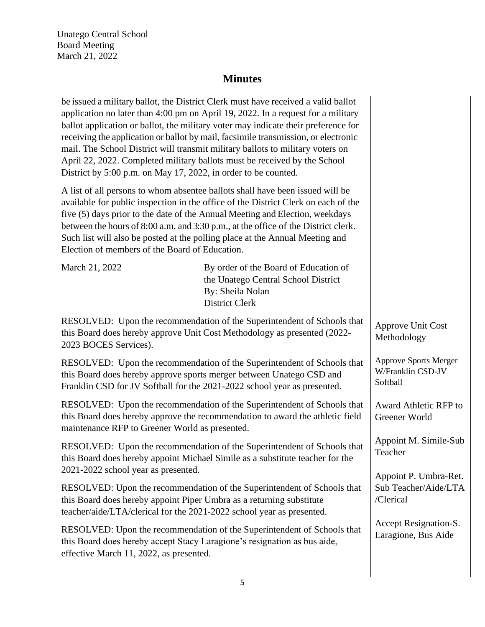Unatego Central School Board Meeting March 21, 2022

| be issued a military ballot, the District Clerk must have received a valid ballot<br>application no later than 4:00 pm on April 19, 2022. In a request for a military<br>ballot application or ballot, the military voter may indicate their preference for<br>receiving the application or ballot by mail, facsimile transmission, or electronic<br>mail. The School District will transmit military ballots to military voters on<br>April 22, 2022. Completed military ballots must be received by the School<br>District by 5:00 p.m. on May 17, 2022, in order to be counted.<br>A list of all persons to whom absentee ballots shall have been issued will be<br>available for public inspection in the office of the District Clerk on each of the<br>five (5) days prior to the date of the Annual Meeting and Election, weekdays<br>between the hours of 8:00 a.m. and 3:30 p.m., at the office of the District clerk.<br>Such list will also be posted at the polling place at the Annual Meeting and<br>Election of members of the Board of Education. |                                                                                                                                                          |                                                               |
|-------------------------------------------------------------------------------------------------------------------------------------------------------------------------------------------------------------------------------------------------------------------------------------------------------------------------------------------------------------------------------------------------------------------------------------------------------------------------------------------------------------------------------------------------------------------------------------------------------------------------------------------------------------------------------------------------------------------------------------------------------------------------------------------------------------------------------------------------------------------------------------------------------------------------------------------------------------------------------------------------------------------------------------------------------------------|----------------------------------------------------------------------------------------------------------------------------------------------------------|---------------------------------------------------------------|
| March 21, 2022                                                                                                                                                                                                                                                                                                                                                                                                                                                                                                                                                                                                                                                                                                                                                                                                                                                                                                                                                                                                                                                    | By order of the Board of Education of<br>the Unatego Central School District<br>By: Sheila Nolan<br><b>District Clerk</b>                                |                                                               |
| RESOLVED: Upon the recommendation of the Superintendent of Schools that<br>this Board does hereby approve Unit Cost Methodology as presented (2022-<br>2023 BOCES Services).                                                                                                                                                                                                                                                                                                                                                                                                                                                                                                                                                                                                                                                                                                                                                                                                                                                                                      |                                                                                                                                                          | Approve Unit Cost<br>Methodology                              |
| RESOLVED: Upon the recommendation of the Superintendent of Schools that<br>this Board does hereby approve sports merger between Unatego CSD and<br>Franklin CSD for JV Softball for the 2021-2022 school year as presented.                                                                                                                                                                                                                                                                                                                                                                                                                                                                                                                                                                                                                                                                                                                                                                                                                                       |                                                                                                                                                          | <b>Approve Sports Merger</b><br>W/Franklin CSD-JV<br>Softball |
| RESOLVED: Upon the recommendation of the Superintendent of Schools that<br>this Board does hereby approve the recommendation to award the athletic field<br>maintenance RFP to Greener World as presented.                                                                                                                                                                                                                                                                                                                                                                                                                                                                                                                                                                                                                                                                                                                                                                                                                                                        |                                                                                                                                                          | Award Athletic RFP to<br>Greener World                        |
| 2021-2022 school year as presented.                                                                                                                                                                                                                                                                                                                                                                                                                                                                                                                                                                                                                                                                                                                                                                                                                                                                                                                                                                                                                               | RESOLVED: Upon the recommendation of the Superintendent of Schools that<br>this Board does hereby appoint Michael Simile as a substitute teacher for the | Appoint M. Simile-Sub<br>Teacher<br>Appoint P. Umbra-Ret.     |
| this Board does hereby appoint Piper Umbra as a returning substitute<br>teacher/aide/LTA/clerical for the 2021-2022 school year as presented.                                                                                                                                                                                                                                                                                                                                                                                                                                                                                                                                                                                                                                                                                                                                                                                                                                                                                                                     | RESOLVED: Upon the recommendation of the Superintendent of Schools that                                                                                  | Sub Teacher/Aide/LTA<br>/Clerical                             |
| RESOLVED: Upon the recommendation of the Superintendent of Schools that<br>this Board does hereby accept Stacy Laragione's resignation as bus aide,<br>effective March 11, 2022, as presented.                                                                                                                                                                                                                                                                                                                                                                                                                                                                                                                                                                                                                                                                                                                                                                                                                                                                    |                                                                                                                                                          | Accept Resignation-S.<br>Laragione, Bus Aide                  |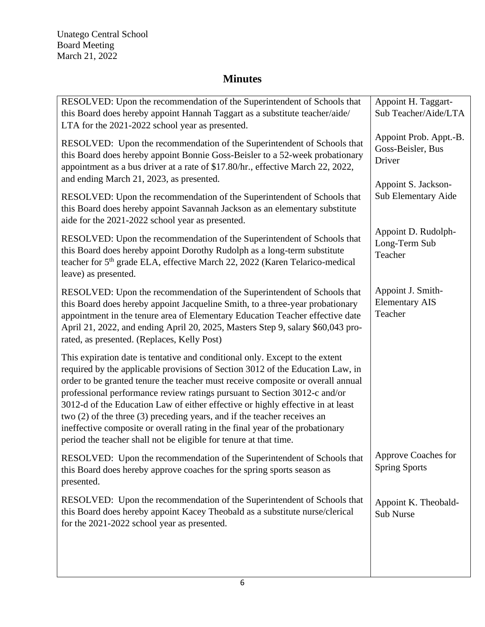Unatego Central School Board Meeting March 21, 2022

| RESOLVED: Upon the recommendation of the Superintendent of Schools that<br>this Board does hereby appoint Hannah Taggart as a substitute teacher/aide/<br>LTA for the 2021-2022 school year as presented.                                                                                                                                                                                                                                                                                                                                                                                                                                           | Appoint H. Taggart-<br>Sub Teacher/Aide/LTA           |
|-----------------------------------------------------------------------------------------------------------------------------------------------------------------------------------------------------------------------------------------------------------------------------------------------------------------------------------------------------------------------------------------------------------------------------------------------------------------------------------------------------------------------------------------------------------------------------------------------------------------------------------------------------|-------------------------------------------------------|
| RESOLVED: Upon the recommendation of the Superintendent of Schools that<br>this Board does hereby appoint Bonnie Goss-Beisler to a 52-week probationary<br>appointment as a bus driver at a rate of \$17.80/hr., effective March 22, 2022,                                                                                                                                                                                                                                                                                                                                                                                                          | Appoint Prob. Appt.-B.<br>Goss-Beisler, Bus<br>Driver |
| and ending March 21, 2023, as presented.<br>RESOLVED: Upon the recommendation of the Superintendent of Schools that<br>this Board does hereby appoint Savannah Jackson as an elementary substitute<br>aide for the 2021-2022 school year as presented.                                                                                                                                                                                                                                                                                                                                                                                              | Appoint S. Jackson-<br>Sub Elementary Aide            |
| RESOLVED: Upon the recommendation of the Superintendent of Schools that<br>this Board does hereby appoint Dorothy Rudolph as a long-term substitute<br>teacher for 5 <sup>th</sup> grade ELA, effective March 22, 2022 (Karen Telarico-medical<br>leave) as presented.                                                                                                                                                                                                                                                                                                                                                                              | Appoint D. Rudolph-<br>Long-Term Sub<br>Teacher       |
| RESOLVED: Upon the recommendation of the Superintendent of Schools that<br>this Board does hereby appoint Jacqueline Smith, to a three-year probationary<br>appointment in the tenure area of Elementary Education Teacher effective date<br>April 21, 2022, and ending April 20, 2025, Masters Step 9, salary \$60,043 pro-<br>rated, as presented. (Replaces, Kelly Post)                                                                                                                                                                                                                                                                         | Appoint J. Smith-<br><b>Elementary AIS</b><br>Teacher |
| This expiration date is tentative and conditional only. Except to the extent<br>required by the applicable provisions of Section 3012 of the Education Law, in<br>order to be granted tenure the teacher must receive composite or overall annual<br>professional performance review ratings pursuant to Section 3012-c and/or<br>3012-d of the Education Law of either effective or highly effective in at least<br>two (2) of the three (3) preceding years, and if the teacher receives an<br>ineffective composite or overall rating in the final year of the probationary<br>period the teacher shall not be eligible for tenure at that time. |                                                       |
| RESOLVED: Upon the recommendation of the Superintendent of Schools that<br>this Board does hereby approve coaches for the spring sports season as<br>presented.                                                                                                                                                                                                                                                                                                                                                                                                                                                                                     | Approve Coaches for<br><b>Spring Sports</b>           |
| RESOLVED: Upon the recommendation of the Superintendent of Schools that<br>this Board does hereby appoint Kacey Theobald as a substitute nurse/clerical<br>for the 2021-2022 school year as presented.                                                                                                                                                                                                                                                                                                                                                                                                                                              | Appoint K. Theobald-<br><b>Sub Nurse</b>              |
|                                                                                                                                                                                                                                                                                                                                                                                                                                                                                                                                                                                                                                                     |                                                       |